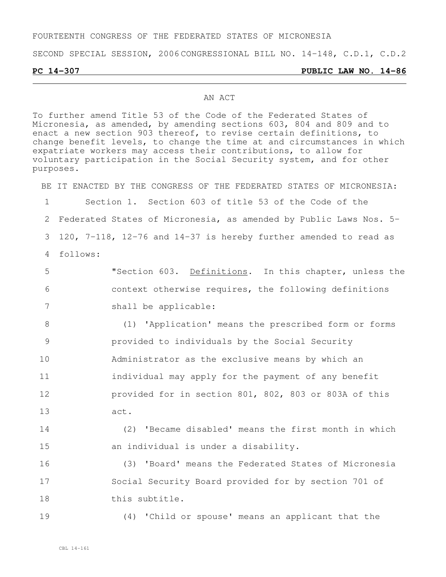#### FOURTEENTH CONGRESS OF THE FEDERATED STATES OF MICRONESIA

SECOND SPECIAL SESSION, 2006 CONGRESSIONAL BILL NO. 14-148, C.D.1, C.D.2

#### **PC 14-307 PUBLIC LAW NO. 14-86**

#### AN ACT

To further amend Title 53 of the Code of the Federated States of Micronesia, as amended, by amending sections 603, 804 and 809 and to enact a new section 903 thereof, to revise certain definitions, to change benefit levels, to change the time at and circumstances in which expatriate workers may access their contributions, to allow for voluntary participation in the Social Security system, and for other purposes.

BE IT ENACTED BY THE CONGRESS OF THE FEDERATED STATES OF MICRONESIA:

 Section 1. Section 603 of title 53 of the Code of the Federated States of Micronesia, as amended by Public Laws Nos. 5- 120, 7-118, 12-76 and 14-37 is hereby further amended to read as 4 follows:

5 "Section 603. Definitions. In this chapter, unless the 6 context otherwise requires, the following definitions 7 shall be applicable:

 (1) 'Application' means the prescribed form or forms provided to individuals by the Social Security Administrator as the exclusive means by which an **individual may apply for the payment of any benefit**  provided for in section 801, 802, 803 or 803A of this 13 act.

14 (2) 'Became disabled' means the first month in which 15 an individual is under a disability.

16 (3) 'Board' means the Federated States of Micronesia 17 Social Security Board provided for by section 701 of 18 this subtitle.

19 (4) 'Child or spouse' means an applicant that the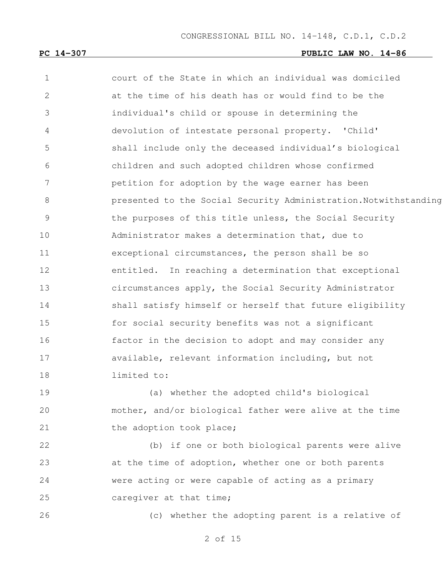court of the State in which an individual was domiciled at the time of his death has or would find to be the individual's child or spouse in determining the devolution of intestate personal property. 'Child' shall include only the deceased individual's biological children and such adopted children whose confirmed petition for adoption by the wage earner has been 8 presented to the Social Security Administration.Notwithstanding 9 the purposes of this title unless, the Social Security Administrator makes a determination that, due to exceptional circumstances, the person shall be so entitled. In reaching a determination that exceptional circumstances apply, the Social Security Administrator shall satisfy himself or herself that future eligibility for social security benefits was not a significant factor in the decision to adopt and may consider any available, relevant information including, but not limited to:

 (a) whether the adopted child's biological mother, and/or biological father were alive at the time 21 the adoption took place;

 (b) if one or both biological parents were alive at the time of adoption, whether one or both parents were acting or were capable of acting as a primary 25 caregiver at that time;

(c) whether the adopting parent is a relative of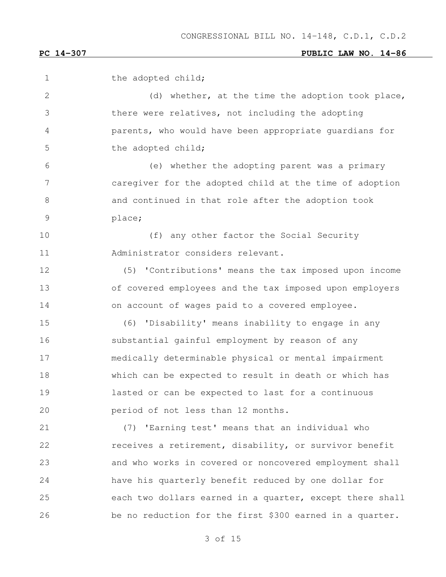1 the adopted child; 2 (d) whether, at the time the adoption took place, there were relatives, not including the adopting parents, who would have been appropriate guardians for 5 the adopted child; (e) whether the adopting parent was a primary caregiver for the adopted child at the time of adoption and continued in that role after the adoption took place; 10 (f) any other factor the Social Security Administrator considers relevant. (5) 'Contributions' means the tax imposed upon income of covered employees and the tax imposed upon employers on account of wages paid to a covered employee. (6) 'Disability' means inability to engage in any substantial gainful employment by reason of any medically determinable physical or mental impairment which can be expected to result in death or which has lasted or can be expected to last for a continuous period of not less than 12 months. (7) 'Earning test' means that an individual who 22 receives a retirement, disability, or survivor benefit and who works in covered or noncovered employment shall have his quarterly benefit reduced by one dollar for each two dollars earned in a quarter, except there shall be no reduction for the first \$300 earned in a quarter.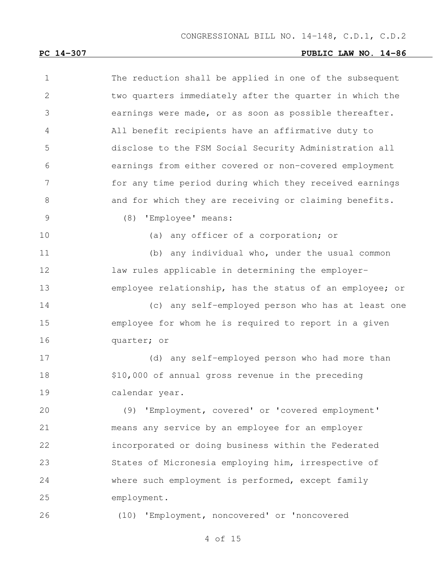| $\mathbf 1$  | The reduction shall be applied in one of the subsequent  |
|--------------|----------------------------------------------------------|
| $\mathbf{2}$ | two quarters immediately after the quarter in which the  |
| 3            | earnings were made, or as soon as possible thereafter.   |
| 4            | All benefit recipients have an affirmative duty to       |
| 5            | disclose to the FSM Social Security Administration all   |
| 6            | earnings from either covered or non-covered employment   |
| 7            | for any time period during which they received earnings  |
| 8            | and for which they are receiving or claiming benefits.   |
| 9            | (8)<br>'Employee' means:                                 |
| 10           | (a) any officer of a corporation; or                     |
| 11           | (b) any individual who, under the usual common           |
| 12           | law rules applicable in determining the employer-        |
| 13           | employee relationship, has the status of an employee; or |
| 14           | (c) any self-employed person who has at least one        |
| 15           | employee for whom he is required to report in a given    |
| 16           | quarter; or                                              |
| 17           | (d) any self-employed person who had more than           |
| 18           | \$10,000 of annual gross revenue in the preceding        |
| 19           | calendar year.                                           |
| 20           | (9) 'Employment, covered' or 'covered employment'        |
| 21           | means any service by an employee for an employer         |
| 22           | incorporated or doing business within the Federated      |
| 23           | States of Micronesia employing him, irrespective of      |
| 24           | where such employment is performed, except family        |
| 25           | employment.                                              |
| 26           | (10) 'Employment, noncovered' or 'noncovered             |
|              |                                                          |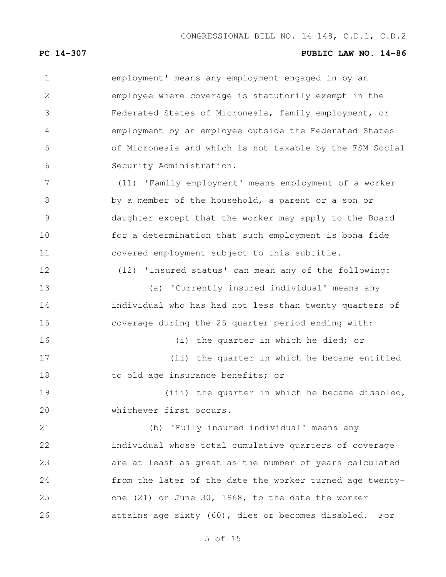employment' means any employment engaged in by an employee where coverage is statutorily exempt in the Federated States of Micronesia, family employment, or employment by an employee outside the Federated States of Micronesia and which is not taxable by the FSM Social Security Administration. (11) 'Family employment' means employment of a worker by a member of the household, a parent or a son or daughter except that the worker may apply to the Board for a determination that such employment is bona fide covered employment subject to this subtitle. (12) 'Insured status' can mean any of the following: (a) 'Currently insured individual' means any individual who has had not less than twenty quarters of

coverage during the 25-quarter period ending with:

 (i) the quarter in which he died; or (ii) the quarter in which he became entitled 18 to old age insurance benefits; or

19 (iii) the quarter in which he became disabled, 20 whichever first occurs.

 (b) 'Fully insured individual' means any individual whose total cumulative quarters of coverage are at least as great as the number of years calculated from the later of the date the worker turned age twenty- one (21) or June 30, 1968, to the date the worker attains age sixty (60), dies or becomes disabled. For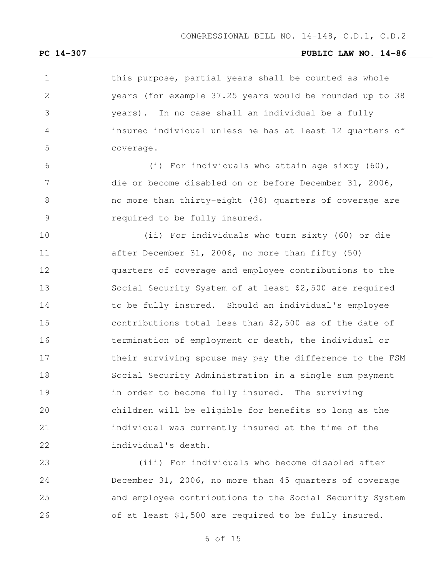1 this purpose, partial years shall be counted as whole years (for example 37.25 years would be rounded up to 38 years). In no case shall an individual be a fully insured individual unless he has at least 12 quarters of coverage. (i) For individuals who attain age sixty (60), die or become disabled on or before December 31, 2006, no more than thirty-eight (38) quarters of coverage are required to be fully insured. (ii) For individuals who turn sixty (60) or die after December 31, 2006, no more than fifty (50) quarters of coverage and employee contributions to the Social Security System of at least \$2,500 are required 14 to be fully insured. Should an individual's employee contributions total less than \$2,500 as of the date of termination of employment or death, the individual or their surviving spouse may pay the difference to the FSM Social Security Administration in a single sum payment **in order to become fully insured.** The surviving children will be eligible for benefits so long as the individual was currently insured at the time of the individual's death.

 (iii) For individuals who become disabled after December 31, 2006, no more than 45 quarters of coverage and employee contributions to the Social Security System of at least \$1,500 are required to be fully insured.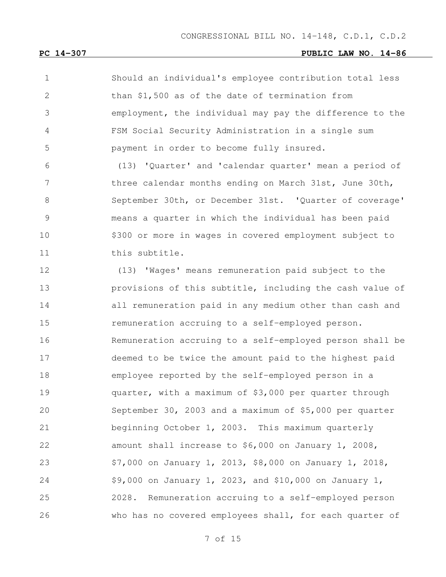Should an individual's employee contribution total less than \$1,500 as of the date of termination from employment, the individual may pay the difference to the FSM Social Security Administration in a single sum payment in order to become fully insured.

 (13) 'Quarter' and 'calendar quarter' mean a period of 7 three calendar months ending on March 31st, June 30th, September 30th, or December 31st. 'Quarter of coverage' means a quarter in which the individual has been paid \$300 or more in wages in covered employment subject to 11 this subtitle.

 (13) 'Wages' means remuneration paid subject to the provisions of this subtitle, including the cash value of all remuneration paid in any medium other than cash and remuneration accruing to a self-employed person. Remuneration accruing to a self-employed person shall be deemed to be twice the amount paid to the highest paid employee reported by the self-employed person in a quarter, with a maximum of \$3,000 per quarter through September 30, 2003 and a maximum of \$5,000 per quarter beginning October 1, 2003. This maximum quarterly amount shall increase to \$6,000 on January 1, 2008, \$7,000 on January 1, 2013, \$8,000 on January 1, 2018, \$9,000 on January 1, 2023, and \$10,000 on January 1, 2028. Remuneration accruing to a self-employed person who has no covered employees shall, for each quarter of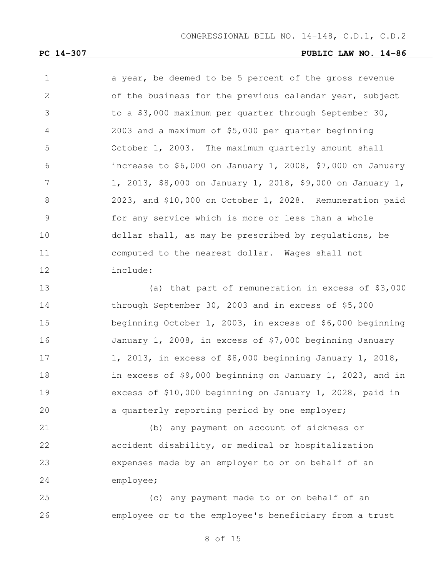CONGRESSIONAL BILL NO. 14-148, C.D.1, C.D.2

#### **PC 14-307 PUBLIC LAW NO. 14-86**

| $\mathbf 1$    | a year, be deemed to be 5 percent of the gross revenue      |
|----------------|-------------------------------------------------------------|
| 2              | of the business for the previous calendar year, subject     |
| 3              | to a \$3,000 maximum per quarter through September 30,      |
| $\overline{4}$ | 2003 and a maximum of \$5,000 per quarter beginning         |
| 5              | October 1, 2003. The maximum quarterly amount shall         |
| 6              | increase to $$6,000$ on January 1, 2008, \$7,000 on January |
| 7              | 1, 2013, \$8,000 on January 1, 2018, \$9,000 on January 1,  |
| 8              | 2023, and \$10,000 on October 1, 2028. Remuneration paid    |
| 9              | for any service which is more or less than a whole          |
| 10             | dollar shall, as may be prescribed by regulations, be       |
| 11             | computed to the nearest dollar. Wages shall not             |
| 12             | include:                                                    |

 (a) that part of remuneration in excess of \$3,000 through September 30, 2003 and in excess of \$5,000 beginning October 1, 2003, in excess of \$6,000 beginning January 1, 2008, in excess of \$7,000 beginning January 1, 2013, in excess of \$8,000 beginning January 1, 2018, in excess of \$9,000 beginning on January 1, 2023, and in excess of \$10,000 beginning on January 1, 2028, paid in a quarterly reporting period by one employer;

 (b) any payment on account of sickness or accident disability, or medical or hospitalization expenses made by an employer to or on behalf of an employee;

 (c) any payment made to or on behalf of an employee or to the employee's beneficiary from a trust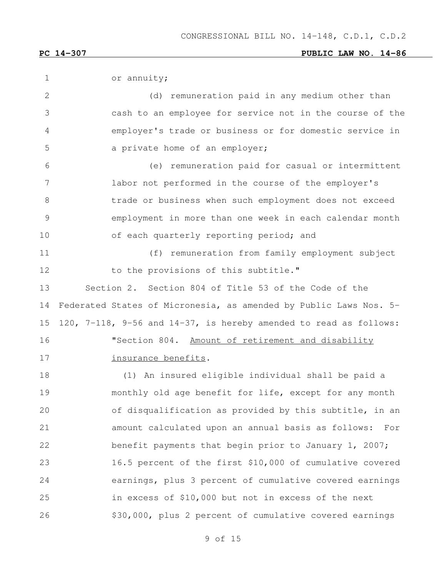| 1             | or annuity;                                                       |
|---------------|-------------------------------------------------------------------|
| 2             | (d) remuneration paid in any medium other than                    |
| 3             | cash to an employee for service not in the course of the          |
| 4             | employer's trade or business or for domestic service in           |
| 5             | a private home of an employer;                                    |
| 6             | (e) remuneration paid for casual or intermittent                  |
| 7             | labor not performed in the course of the employer's               |
| 8             | trade or business when such employment does not exceed            |
| $\mathcal{G}$ | employment in more than one week in each calendar month           |
| 10            | of each quarterly reporting period; and                           |
| 11            | (f) remuneration from family employment subject                   |
| 12            | to the provisions of this subtitle."                              |
| 13            | Section 2. Section 804 of Title 53 of the Code of the             |
| 14            | Federated States of Micronesia, as amended by Public Laws Nos. 5- |
| 15            | 120, 7-118, 9-56 and 14-37, is hereby amended to read as follows: |
| 16            | "Section 804. Amount of retirement and disability                 |
| 17            | insurance benefits.                                               |
| 18            | (1) An insured eligible individual shall be paid a                |
| 19            | monthly old age benefit for life, except for any month            |
| 20            | of disqualification as provided by this subtitle, in an           |
| 21            | amount calculated upon an annual basis as follows:<br>For         |
| 22            | benefit payments that begin prior to January 1, 2007;             |
| 23            | 16.5 percent of the first \$10,000 of cumulative covered          |
| 24            | earnings, plus 3 percent of cumulative covered earnings           |
| 25            | in excess of \$10,000 but not in excess of the next               |
| 26            | \$30,000, plus 2 percent of cumulative covered earnings           |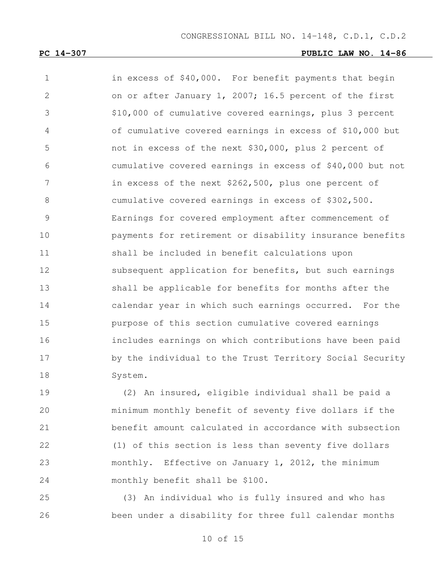1 in excess of \$40,000. For benefit payments that begin on or after January 1, 2007; 16.5 percent of the first \$10,000 of cumulative covered earnings, plus 3 percent of cumulative covered earnings in excess of \$10,000 but not in excess of the next \$30,000, plus 2 percent of cumulative covered earnings in excess of \$40,000 but not in excess of the next \$262,500, plus one percent of cumulative covered earnings in excess of \$302,500. Earnings for covered employment after commencement of payments for retirement or disability insurance benefits shall be included in benefit calculations upon 12 subsequent application for benefits, but such earnings shall be applicable for benefits for months after the calendar year in which such earnings occurred. For the purpose of this section cumulative covered earnings includes earnings on which contributions have been paid by the individual to the Trust Territory Social Security System.

 (2) An insured, eligible individual shall be paid a minimum monthly benefit of seventy five dollars if the benefit amount calculated in accordance with subsection (1) of this section is less than seventy five dollars monthly. Effective on January 1, 2012, the minimum monthly benefit shall be \$100.

 (3) An individual who is fully insured and who has been under a disability for three full calendar months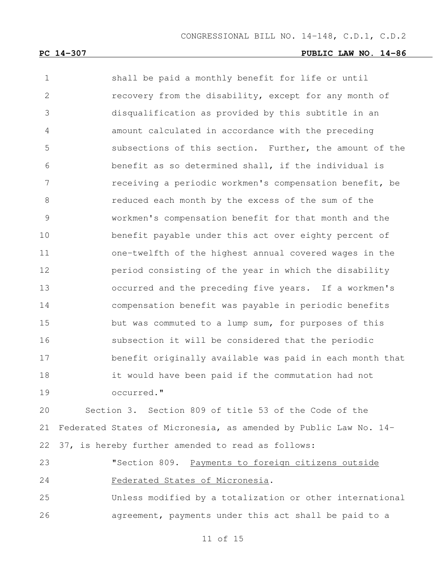shall be paid a monthly benefit for life or until recovery from the disability, except for any month of disqualification as provided by this subtitle in an amount calculated in accordance with the preceding subsections of this section. Further, the amount of the benefit as so determined shall, if the individual is receiving a periodic workmen's compensation benefit, be reduced each month by the excess of the sum of the workmen's compensation benefit for that month and the benefit payable under this act over eighty percent of one-twelfth of the highest annual covered wages in the period consisting of the year in which the disability occurred and the preceding five years. If a workmen's compensation benefit was payable in periodic benefits but was commuted to a lump sum, for purposes of this subsection it will be considered that the periodic benefit originally available was paid in each month that it would have been paid if the commutation had not occurred."

 Section 3. Section 809 of title 53 of the Code of the Federated States of Micronesia, as amended by Public Law No. 14- 37, is hereby further amended to read as follows:

 "Section 809. Payments to foreign citizens outside Federated States of Micronesia.

 Unless modified by a totalization or other international 26 agreement, payments under this act shall be paid to a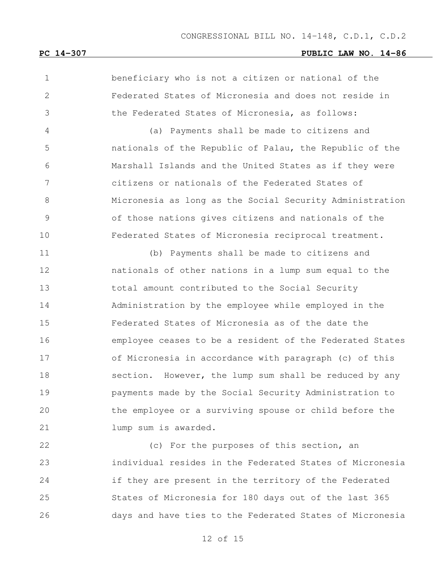beneficiary who is not a citizen or national of the Federated States of Micronesia and does not reside in the Federated States of Micronesia, as follows:

 (a) Payments shall be made to citizens and nationals of the Republic of Palau, the Republic of the Marshall Islands and the United States as if they were citizens or nationals of the Federated States of Micronesia as long as the Social Security Administration of those nations gives citizens and nationals of the Federated States of Micronesia reciprocal treatment.

 (b) Payments shall be made to citizens and nationals of other nations in a lump sum equal to the total amount contributed to the Social Security Administration by the employee while employed in the Federated States of Micronesia as of the date the employee ceases to be a resident of the Federated States of Micronesia in accordance with paragraph (c) of this 18 section. However, the lump sum shall be reduced by any payments made by the Social Security Administration to the employee or a surviving spouse or child before the **Lump** sum is awarded.

22 (c) For the purposes of this section, an individual resides in the Federated States of Micronesia if they are present in the territory of the Federated States of Micronesia for 180 days out of the last 365 days and have ties to the Federated States of Micronesia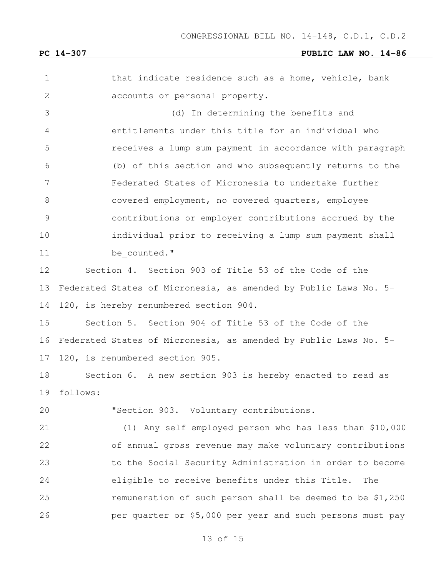1 that indicate residence such as a home, vehicle, bank accounts or personal property. (d) In determining the benefits and entitlements under this title for an individual who receives a lump sum payment in accordance with paragraph (b) of this section and who subsequently returns to the Federated States of Micronesia to undertake further 8 covered employment, no covered quarters, employee contributions or employer contributions accrued by the individual prior to receiving a lump sum payment shall 11 be counted." Section 4. Section 903 of Title 53 of the Code of the Federated States of Micronesia, as amended by Public Laws No. 5- 120, is hereby renumbered section 904. Section 5. Section 904 of Title 53 of the Code of the Federated States of Micronesia, as amended by Public Laws No. 5- 120, is renumbered section 905. Section 6. A new section 903 is hereby enacted to read as follows: "Section 903. Voluntary contributions. (1) Any self employed person who has less than \$10,000 of annual gross revenue may make voluntary contributions to the Social Security Administration in order to become eligible to receive benefits under this Title. The remuneration of such person shall be deemed to be \$1,250 per quarter or \$5,000 per year and such persons must pay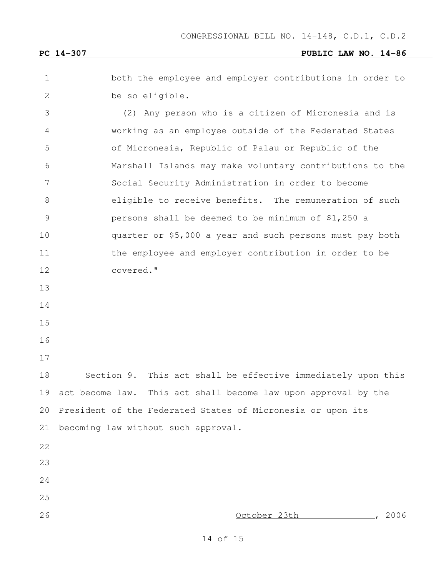both the employee and employer contributions in order to be so eligible. (2) Any person who is a citizen of Micronesia and is working as an employee outside of the Federated States of Micronesia, Republic of Palau or Republic of the Marshall Islands may make voluntary contributions to the Social Security Administration in order to become eligible to receive benefits. The remuneration of such persons shall be deemed to be minimum of \$1,250 a quarter or \$5,000 a year and such persons must pay both 11 the employee and employer contribution in order to be

covered."

- 
- 
- 
- 
- 

 Section 9. This act shall be effective immediately upon this act become law. This act shall become law upon approval by the President of the Federated States of Micronesia or upon its becoming law without such approval.

- 
- 

October 23th , 2006